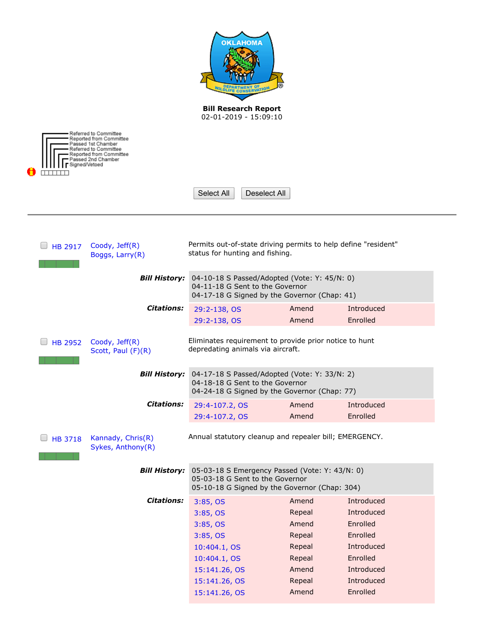| <b>OKLAHOMA</b>                                                                                                                                                                                 |                                                                                                                                    |                  |                        |  |  |  |  |
|-------------------------------------------------------------------------------------------------------------------------------------------------------------------------------------------------|------------------------------------------------------------------------------------------------------------------------------------|------------------|------------------------|--|--|--|--|
|                                                                                                                                                                                                 | <b>Bill Research Report</b><br>02-01-2019 - 15:09:10                                                                               |                  |                        |  |  |  |  |
|                                                                                                                                                                                                 |                                                                                                                                    |                  |                        |  |  |  |  |
| Referred to Committee<br>Reported from Committee<br>Passed 1st Chamber<br>Referred to Committee<br>Reported from Committee<br>Passed 2nd Chamber<br>Signed/Vetoed<br>Select All<br>Deselect All |                                                                                                                                    |                  |                        |  |  |  |  |
|                                                                                                                                                                                                 |                                                                                                                                    |                  |                        |  |  |  |  |
| Permits out-of-state driving permits to help define "resident"<br>Coody, Jeff(R)<br><b>HB 2917</b><br>status for hunting and fishing.<br>Boggs, Larry(R)                                        |                                                                                                                                    |                  |                        |  |  |  |  |
| <b>Bill History:</b>                                                                                                                                                                            | 04-10-18 S Passed/Adopted (Vote: Y: 45/N: 0)<br>04-11-18 G Sent to the Governor<br>04-17-18 G Signed by the Governor (Chap: 41)    |                  |                        |  |  |  |  |
| <b>Citations:</b>                                                                                                                                                                               | 29:2-138, OS                                                                                                                       | Amend            | Introduced             |  |  |  |  |
|                                                                                                                                                                                                 | 29:2-138, OS                                                                                                                       | Amend            | Enrolled               |  |  |  |  |
| Eliminates requirement to provide prior notice to hunt<br>Coody, Jeff(R)<br><b>HB 2952</b><br>depredating animals via aircraft.<br>Scott, Paul (F)(R)                                           |                                                                                                                                    |                  |                        |  |  |  |  |
| <b>Bill History:</b>                                                                                                                                                                            | 04-17-18 S Passed/Adopted (Vote: Y: 33/N: 2)<br>04-18-18 G Sent to the Governor<br>04-24-18 G Signed by the Governor (Chap: 77)    |                  |                        |  |  |  |  |
| <b>Citations:</b>                                                                                                                                                                               | 29:4-107.2, OS                                                                                                                     | Amend            | Introduced             |  |  |  |  |
|                                                                                                                                                                                                 | 29:4-107.2, OS                                                                                                                     | Amend            | Enrolled               |  |  |  |  |
| Annual statutory cleanup and repealer bill; EMERGENCY.<br>Kannady, Chris(R)<br><b>HB 3718</b><br>Sykes, Anthony(R)                                                                              |                                                                                                                                    |                  |                        |  |  |  |  |
| <b>Bill History:</b>                                                                                                                                                                            | 05-03-18 S Emergency Passed (Vote: Y: 43/N: 0)<br>05-03-18 G Sent to the Governor<br>05-10-18 G Signed by the Governor (Chap: 304) |                  |                        |  |  |  |  |
| <b>Citations:</b>                                                                                                                                                                               | 3:85,0S                                                                                                                            | Amend            | Introduced             |  |  |  |  |
|                                                                                                                                                                                                 | 3:85,0S                                                                                                                            | Repeal           | Introduced             |  |  |  |  |
|                                                                                                                                                                                                 | 3:85,0S                                                                                                                            | Amend            | Enrolled               |  |  |  |  |
|                                                                                                                                                                                                 | 3:85,0S                                                                                                                            | Repeal           | Enrolled<br>Introduced |  |  |  |  |
|                                                                                                                                                                                                 | 10:404.1, OS<br>10:404.1, OS                                                                                                       | Repeal<br>Repeal | Enrolled               |  |  |  |  |
|                                                                                                                                                                                                 | 15:141.26, OS                                                                                                                      | Amend            | Introduced             |  |  |  |  |
|                                                                                                                                                                                                 | 15:141.26, OS                                                                                                                      | Repeal           | Introduced             |  |  |  |  |
|                                                                                                                                                                                                 | 15:141.26, OS                                                                                                                      | Amend            | Enrolled               |  |  |  |  |
|                                                                                                                                                                                                 |                                                                                                                                    |                  |                        |  |  |  |  |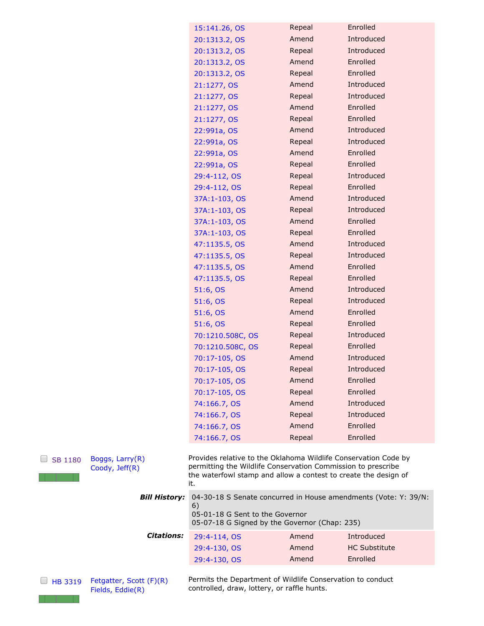| 15:141.26, OS    | Repeal | Enrolled   |  |
|------------------|--------|------------|--|
| 20:1313.2, OS    | Amend  | Introduced |  |
| 20:1313.2, OS    | Repeal | Introduced |  |
| 20:1313.2, OS    | Amend  | Enrolled   |  |
| 20:1313.2, OS    | Repeal | Enrolled   |  |
| 21:1277, OS      | Amend  | Introduced |  |
| 21:1277, OS      | Repeal | Introduced |  |
| 21:1277, OS      | Amend  | Enrolled   |  |
| 21:1277, OS      | Repeal | Enrolled   |  |
| 22:991a, OS      | Amend  | Introduced |  |
| 22:991a, OS      | Repeal | Introduced |  |
| 22:991a, OS      | Amend  | Enrolled   |  |
| 22:991a, OS      | Repeal | Enrolled   |  |
| 29:4-112, OS     | Repeal | Introduced |  |
| 29:4-112, OS     | Repeal | Enrolled   |  |
| 37A:1-103, OS    | Amend  | Introduced |  |
| 37A:1-103, OS    | Repeal | Introduced |  |
| 37A:1-103, OS    | Amend  | Enrolled   |  |
| 37A: 1-103, OS   | Repeal | Enrolled   |  |
| 47:1135.5, OS    | Amend  | Introduced |  |
| 47:1135.5, OS    | Repeal | Introduced |  |
| 47:1135.5, OS    | Amend  | Enrolled   |  |
| 47:1135.5, OS    | Repeal | Enrolled   |  |
| 51:6, OS         | Amend  | Introduced |  |
| 51:6, OS         | Repeal | Introduced |  |
| 51:6, OS         | Amend  | Enrolled   |  |
| 51:6, OS         | Repeal | Enrolled   |  |
| 70:1210.508C, OS | Repeal | Introduced |  |
| 70:1210.508C, OS | Repeal | Enrolled   |  |
| 70:17-105, OS    | Amend  | Introduced |  |
| 70:17-105, OS    | Repeal | Introduced |  |
| 70:17-105, OS    | Amend  | Enrolled   |  |
| 70:17-105, OS    | Repeal | Enrolled   |  |
| 74:166.7, OS     | Amend  | Introduced |  |
| 74:166.7, OS     | Repeal | Introduced |  |
| 74:166.7, OS     | Amend  | Enrolled   |  |
| 74:166.7, OS     | Repeal | Enrolled   |  |

| <b>Bill History:</b> | 04-30-18 S Senate concurred in House amendments (Vote: Y: 39/N:<br>6)<br>05-01-18 G Sent to the Governor<br>05-07-18 G Signed by the Governor (Chap: 235) |                |                                    |  |  |  |  |
|----------------------|-----------------------------------------------------------------------------------------------------------------------------------------------------------|----------------|------------------------------------|--|--|--|--|
| <b>Citations:</b>    | 29:4-114, OS<br>29:4-130, OS                                                                                                                              | Amend<br>Amend | Introduced<br><b>HC Substitute</b> |  |  |  |  |
|                      | 29:4-130, OS                                                                                                                                              | Amend          | Enrolled                           |  |  |  |  |

[HB 3319](http://www.oklegislature.gov/BillInfo.aspx?Bill=HB3319&Session=1800) [Fetgatter, Scott \(F\)\(R\)](http://www.okhouse.gov/District.aspx?District=16) [Fields, Eddie\(R\)](http://oksenate.gov/Senators/biographies/Fields_bio.aspx)

[SB 1180](http://www.oklegislature.gov/BillInfo.aspx?Bill=SB1180&Session=1800) [Boggs, Larry\(R\)](http://oksenate.gov/Senators/biographies/Boggs_bio.aspx)

<u> El transfer</u>

[Coody, Jeff\(R\)](http://www.okhouse.gov/District.aspx?District=63)

Permits the Department of Wildlife Conservation to conduct controlled, draw, lottery, or raffle hunts.